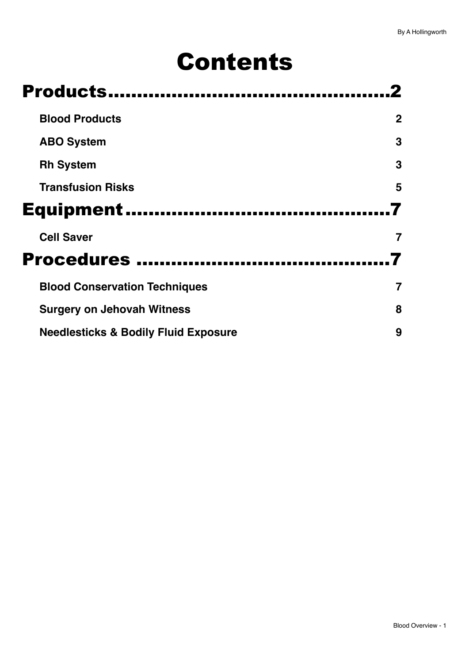# Contents

| Products                             |             |  |
|--------------------------------------|-------------|--|
| <b>Blood Products</b>                | $\mathbf 2$ |  |
| <b>ABO System</b>                    | 3           |  |
| <b>Rh System</b>                     | 3           |  |
| <b>Transfusion Risks</b>             | 5           |  |
| <b>Equipment</b>                     |             |  |
| <b>Cell Saver</b>                    |             |  |
| <b>Procedures </b>                   |             |  |
|                                      |             |  |
| <b>Blood Conservation Techniques</b> |             |  |
| <b>Surgery on Jehovah Witness</b>    | 8           |  |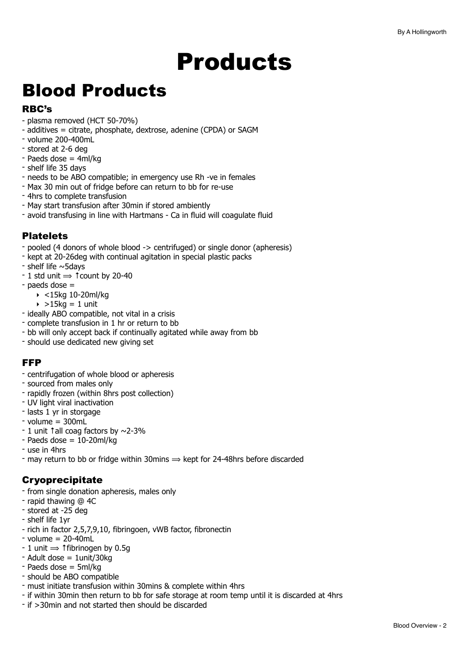# <span id="page-1-0"></span>Products

# <span id="page-1-1"></span>Blood Products

# RBC's

- plasma removed (HCT 50-70%)
- additives = citrate, phosphate, dextrose, adenine (CPDA) or SAGM
- volume 200-400mL
- stored at 2-6 deg
- Paeds dose = 4ml/kg
- shelf life 35 days
- needs to be ABO compatible; in emergency use Rh -ve in females
- Max 30 min out of fridge before can return to bb for re-use
- 4hrs to complete transfusion
- May start transfusion after 30min if stored ambiently
- avoid transfusing in line with Hartmans Ca in fluid will coagulate fluid

## **Platelets**

- pooled (4 donors of whole blood -> centrifuged) or single donor (apheresis)
- kept at 20-26deg with continual agitation in special plastic packs
- shelf life ~5days
- $-1$  std unit  $\Rightarrow$   $\uparrow$  count by 20-40
- paeds dose =
	- ‣ <15kg 10-20ml/kg
	- $\rightarrow$  >15kg = 1 unit
- ideally ABO compatible, not vital in a crisis
- complete transfusion in 1 hr or return to bb
- bb will only accept back if continually agitated while away from bb
- should use dedicated new giving set

## FFP

- centrifugation of whole blood or apheresis
- sourced from males only
- rapidly frozen (within 8hrs post collection)
- UV light viral inactivation
- lasts 1 yr in storgage
- $-$  volume = 300mL
- 1 unit ↑all coag factors by ~2-3%
- $-$  Paeds dose  $= 10-20$ ml/kg
- use in 4hrs
- may return to bb or fridge within 30mins  $\Rightarrow$  kept for 24-48hrs before discarded

# Cryoprecipitate

- from single donation apheresis, males only
- rapid thawing @ 4C
- stored at -25 deg
- shelf life 1yr
- rich in factor 2,5,7,9,10, fibringoen, vWB factor, fibronectin
- $-$  volume = 20-40mL
- $-1$  unit  $\Rightarrow$  † fibrinogen by 0.5g
- Adult dose = 1unit/30kg
- Paeds dose = 5ml/kg
- should be ABO compatible
- must initiate transfusion within 30mins & complete within 4hrs
- if within 30min then return to bb for safe storage at room temp until it is discarded at 4hrs
- if >30min and not started then should be discarded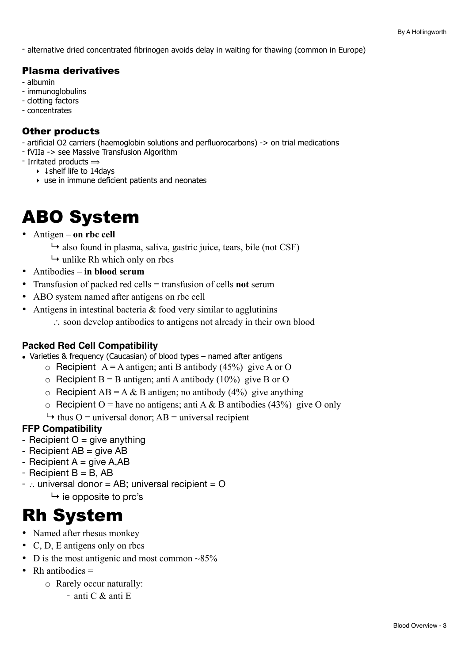- alternative dried concentrated fibrinogen avoids delay in waiting for thawing (common in Europe)

# Plasma derivatives

- albumin
- immunoglobulins
- clotting factors
- concentrates

# Other products

- artificial O2 carriers (haemoglobin solutions and perfluorocarbons) -> on trial medications

- fVIIa -> see Massive Transfusion Algorithm
- Irritated products  $\Rightarrow$ 
	- ‣ ↓shelf life to 14days
	- ‣ use in immune deficient patients and neonates

# <span id="page-2-0"></span>ABO System

- Antigen **on rbc cell**
	- $\rightarrow$  also found in plasma, saliva, gastric juice, tears, bile (not CSF)
	- $\rightarrow$  unlike Rh which only on rhcs
- Antibodies **in blood serum**
- Transfusion of packed red cells = transfusion of cells **not** serum
- ABO system named after antigens on rbc cell
- Antigens in intestinal bacteria  $&$  food very similar to agglutining
	- ∴ soon develop antibodies to antigens not already in their own blood

## **Packed Red Cell Compatibility**

- Varieties & frequency (Caucasian) of blood types named after antigens
	- $\circ$  Recipient A = A antigen; anti B antibody (45%) give A or O
	- $\circ$  Recipient B = B antigen; anti A antibody (10%) give B or O
	- $\circ$  Recipient AB = A & B antigen; no antibody (4%) give anything
	- $\circ$  Recipient O = have no antigens; anti A & B antibodies (43%) give O only
	- $\rightarrow$  thus O = universal donor; AB = universal recipient

## **FFP Compatibility**

- Recipient  $O =$  give anything
- Recipient AB = give AB
- Recipient  $A =$  give A, AB
- Recipient  $B = B$ , AB
- $-$  ∴ universal donor = AB; universal recipient = O  $\mapsto$  ie opposite to prc's

# <span id="page-2-1"></span>Rh System

- Named after rhesus monkey
- C, D, E antigens only on rbcs
- D is the most antigenic and most common  $\sim 85\%$
- Rh antibodies  $=$ 
	- o Rarely occur naturally:
		- anti C & anti E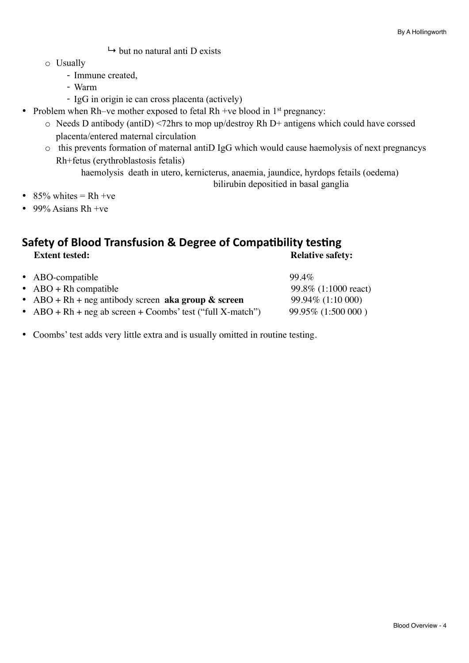- $\mapsto$  but no natural anti D exists
- o Usually
	- Immune created,
	- Warm
	- IgG in origin ie can cross placenta (actively)
- Problem when Rh–ve mother exposed to fetal Rh +ve blood in  $1<sup>st</sup>$  pregnancy:
	- o Needs D antibody (antiD) <72hrs to mop up/destroy Rh D+ antigens which could have corssed placenta/entered maternal circulation
	- o this prevents formation of maternal antiD IgG which would cause haemolysis of next pregnancys Rh+fetus (erythroblastosis fetalis)

 haemolysis death in utero, kernicterus, anaemia, jaundice, hyrdops fetails (oedema) bilirubin depositied in basal ganglia

- 85% whites  $= Rh +ve$
- 99% Asians Rh +ve

# **Safety of Blood Transfusion & Degree of Compatibility testing<br>Extent tested:**<br>Relative safe **Relative safety:**

| • ABO-compatible                                             | $99.4\%$              |
|--------------------------------------------------------------|-----------------------|
| $\bullet$ ABO + Rh compatible                                | 99.8\% (1:1000 react) |
| • ABO + Rh + neg antibody screen aka group $\&$ screen       | 99.94\% (1:10 000)    |
| • $ABO + Rh + neg$ ab screen + Coombs' test ("full X-match") | $99.95\%$ (1:500 000) |
|                                                              |                       |

• Coombs' test adds very little extra and is usually omitted in routine testing.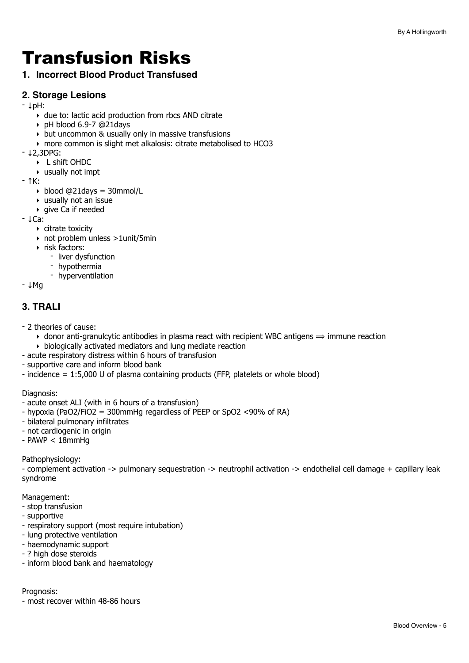# <span id="page-4-0"></span>Transfusion Risks

# **1. Incorrect Blood Product Transfused**

### **2. Storage Lesions**

- ↓pH:
	- ‣ due to: lactic acid production from rbcs AND citrate
	- ‣ pH blood 6.9-7 @21days
	- ‣ but uncommon & usually only in massive transfusions
	- ‣ more common is slight met alkalosis: citrate metabolised to HCO3
- ↓2,3DPG:
	- ‣ L shift OHDC
	- ‣ usually not impt
- ↑K:
	- ‣ blood @21days = 30mmol/L
	- ‣ usually not an issue
	- ‣ give Ca if needed
- ↓Ca:
	- ‣ citrate toxicity
	- ‣ not problem unless >1unit/5min
	- ‣ risk factors:
		- liver dysfunction
		- hypothermia
		- hyperventilation

- ↓Mg

## **3. TRALI**

- 2 theories of cause:
	- $\rightarrow$  donor anti-granulcytic antibodies in plasma react with recipient WBC antigens  $\Rightarrow$  immune reaction
	- ‣ biologically activated mediators and lung mediate reaction
- acute respiratory distress within 6 hours of transfusion
- supportive care and inform blood bank
- incidence = 1:5,000 U of plasma containing products (FFP, platelets or whole blood)

Diagnosis:

- acute onset ALI (with in 6 hours of a transfusion)
- hypoxia (PaO2/FiO2 = 300mmHg regardless of PEEP or SpO2 <90% of RA)
- bilateral pulmonary infiltrates
- not cardiogenic in origin
- $-$  PAWP  $<$  18mmHg

Pathophysiology:

- complement activation -> pulmonary sequestration -> neutrophil activation -> endothelial cell damage + capillary leak syndrome

Management:

- stop transfusion
- supportive
- respiratory support (most require intubation)
- lung protective ventilation
- haemodynamic support
- ? high dose steroids
- inform blood bank and haematology

Prognosis:

- most recover within 48-86 hours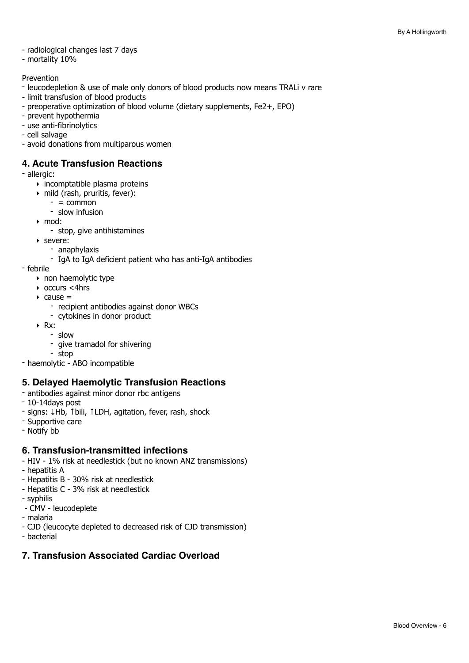#### - radiological changes last 7 days

- mortality 10%

#### Prevention

- leucodepletion & use of male only donors of blood products now means TRALi v rare
- limit transfusion of blood products
- preoperative optimization of blood volume (dietary supplements, Fe2+, EPO)
- prevent hypothermia
- use anti-fibrinolytics
- cell salvage
- avoid donations from multiparous women

#### **4. Acute Transfusion Reactions**

- allergic:

- $\rightarrow$  incomptatible plasma proteins
- ‣ mild (rash, pruritis, fever):
	- $=$  common
	- slow infusion
- ‣ mod:
	- stop, give antihistamines
- ‣ severe:
	- anaphylaxis
	- IgA to IgA deficient patient who has anti-IgA antibodies
- febrile
	- ‣ non haemolytic type
	- ‣ occurs <4hrs
	- $\triangleright$  cause =
		- recipient antibodies against donor WBCs
		- cytokines in donor product
	- ‣ Rx:
		- slow
		- give tramadol for shivering
		- stop
- haemolytic ABO incompatible

#### **5. Delayed Haemolytic Transfusion Reactions**

- antibodies against minor donor rbc antigens
- 10-14days post
- signs: ↓Hb, ↑bili, ↑LDH, agitation, fever, rash, shock
- Supportive care
- Notify bb

#### **6. Transfusion-transmitted infections**

- HIV 1% risk at needlestick (but no known ANZ transmissions)
- hepatitis A
- Hepatitis B 30% risk at needlestick
- Hepatitis C 3% risk at needlestick
- syphilis
- CMV leucodeplete
- malaria
- CJD (leucocyte depleted to decreased risk of CJD transmission)
- bacterial

### **7. Transfusion Associated Cardiac Overload**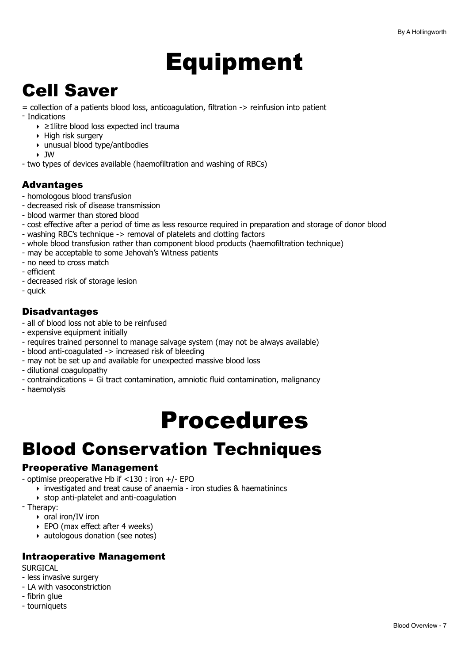# <span id="page-6-0"></span>Equipment

# <span id="page-6-1"></span>Cell Saver

= collection of a patients blood loss, anticoagulation, filtration -> reinfusion into patient

- Indications
	- ‣ ≥1litre blood loss expected incl trauma
	- ‣ High risk surgery
	- ‣ unusual blood type/antibodies
	- ‣ JW
- two types of devices available (haemofiltration and washing of RBCs)

# Advantages

- homologous blood transfusion
- decreased risk of disease transmission
- blood warmer than stored blood
- cost effective after a period of time as less resource required in preparation and storage of donor blood
- washing RBC's technique -> removal of platelets and clotting factors
- whole blood transfusion rather than component blood products (haemofiltration technique)
- may be acceptable to some Jehovah's Witness patients
- no need to cross match
- efficient
- decreased risk of storage lesion
- quick

# Disadvantages

- all of blood loss not able to be reinfused
- expensive equipment initially
- requires trained personnel to manage salvage system (may not be always available)
- blood anti-coagulated -> increased risk of bleeding
- may not be set up and available for unexpected massive blood loss
- dilutional coagulopathy
- contraindications = Gi tract contamination, amniotic fluid contamination, malignancy
- haemolysis

# <span id="page-6-2"></span>Procedures

# <span id="page-6-3"></span>Blood Conservation Techniques

## Preoperative Management

- optimise preoperative Hb if <130 : iron +/- EPO
	- ‣ investigated and treat cause of anaemia iron studies & haematinincs
	- ‣ stop anti-platelet and anti-coagulation
- Therapy:
	- ‣ oral iron/IV iron
	- ‣ EPO (max effect after 4 weeks)
	- ‣ autologous donation (see notes)

## Intraoperative Management

**SURGICAL** 

- less invasive surgery
- LA with vasoconstriction
- fibrin glue
- tourniquets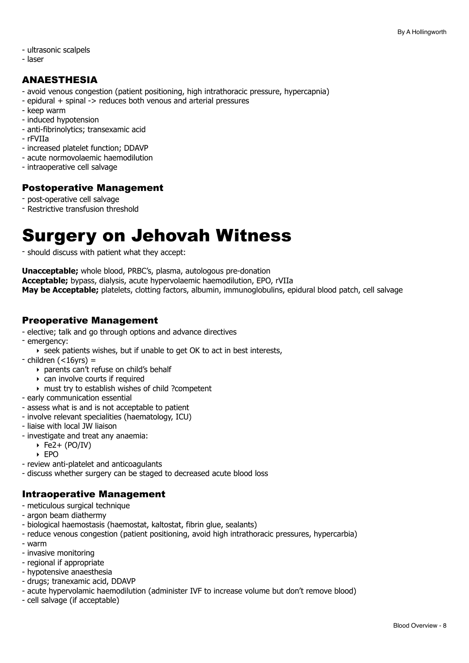#### - ultrasonic scalpels

- laser

# ANAESTHESIA

- avoid venous congestion (patient positioning, high intrathoracic pressure, hypercapnia)
- epidural + spinal -> reduces both venous and arterial pressures
- keep warm
- induced hypotension
- anti-fibrinolytics; transexamic acid
- rFVIIa
- increased platelet function; DDAVP
- acute normovolaemic haemodilution
- intraoperative cell salvage

## Postoperative Management

- post-operative cell salvage
- Restrictive transfusion threshold

# <span id="page-7-0"></span>Surgery on Jehovah Witness

- should discuss with patient what they accept:

**Unacceptable;** whole blood, PRBC's, plasma, autologous pre-donation **Acceptable;** bypass, dialysis, acute hypervolaemic haemodilution, EPO, rVIIa **May be Acceptable;** platelets, clotting factors, albumin, immunoglobulins, epidural blood patch, cell salvage

## Preoperative Management

- elective; talk and go through options and advance directives
- emergency:
	- ‣ seek patients wishes, but if unable to get OK to act in best interests,
- $-$  children ( $<$ 16yrs) =
	- ‣ parents can't refuse on child's behalf
	- ‣ can involve courts if required
	- ‣ must try to establish wishes of child ?competent
- early communication essential
- assess what is and is not acceptable to patient
- involve relevant specialities (haematology, ICU)
- liaise with local JW liaison
- investigate and treat any anaemia:
	- $\rightarrow$  Fe2+ (PO/IV)
	- ‣ EPO
- review anti-platelet and anticoagulants
- discuss whether surgery can be staged to decreased acute blood loss

## Intraoperative Management

- meticulous surgical technique
- argon beam diathermy
- biological haemostasis (haemostat, kaltostat, fibrin glue, sealants)
- reduce venous congestion (patient positioning, avoid high intrathoracic pressures, hypercarbia)
- warm
- invasive monitoring
- regional if appropriate
- hypotensive anaesthesia
- drugs; tranexamic acid, DDAVP
- acute hypervolamic haemodilution (administer IVF to increase volume but don't remove blood)
- cell salvage (if acceptable)